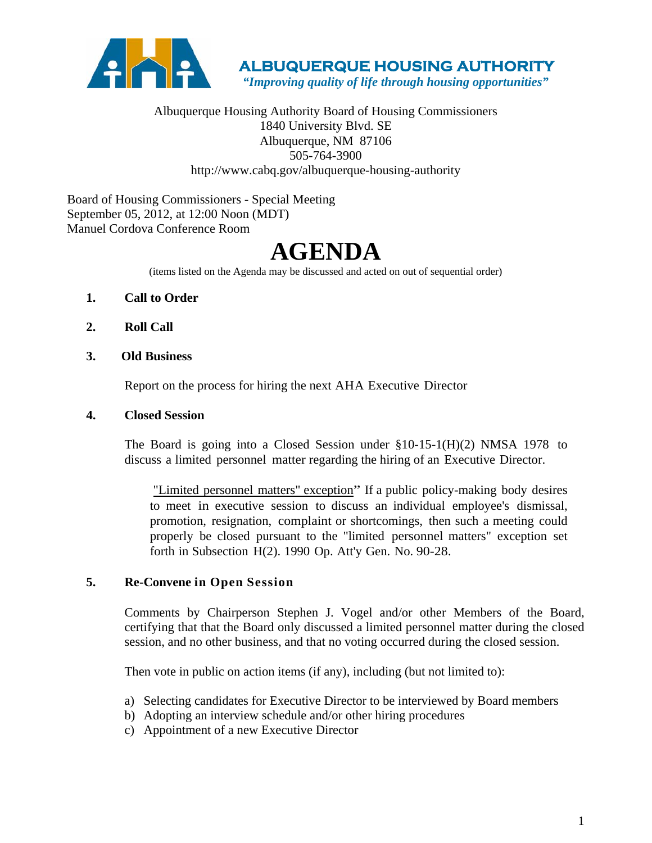

 **ALBUQUERQUE HOUSING AUTHORITY** 

 *"Improving quality of life through housing opportunities"*

Albuquerque Housing Authority Board of Housing Commissioners 1840 University Blvd. SE Albuquerque, NM 87106 505-764-3900 http://www.cabq.gov/albuquerque-housing-authority

Board of Housing Commissioners - Special Meeting September 05, 2012, at 12:00 Noon (MDT) Manuel Cordova Conference Room

# **AGENDA**

(items listed on the Agenda may be discussed and acted on out of sequential order)

- **1. Call to Order**
- **2. Roll Call**
- **3. Old Business**

Report on the process for hiring the next AHA Executive Director

#### **4. Closed Session**

The Board is going into a Closed Session under §10-15-1(H)(2) NMSA 1978 to discuss a limited personnel matter regarding the hiring of an Executive Director.

"Limited personnel matters" exception" If a public policy-making body desires to meet in executive session to discuss an individual employee's dismissal, promotion, resignation, complaint or shortcomings, then such a meeting could properly be closed pursuant to the "limited personnel matters" exception set forth in Subsection H(2). 1990 Op. Att'y Gen. No. 90-28.

#### **5. Re-Convene in Open Session**

Comments by Chairperson Stephen J. Vogel and/or other Members of the Board, certifying that that the Board only discussed a limited personnel matter during the closed session, and no other business, and that no voting occurred during the closed session.

Then vote in public on action items (if any), including (but not limited to):

- a) Selecting candidates for Executive Director to be interviewed by Board members
- b) Adopting an interview schedule and/or other hiring procedures
- c) Appointment of a new Executive Director